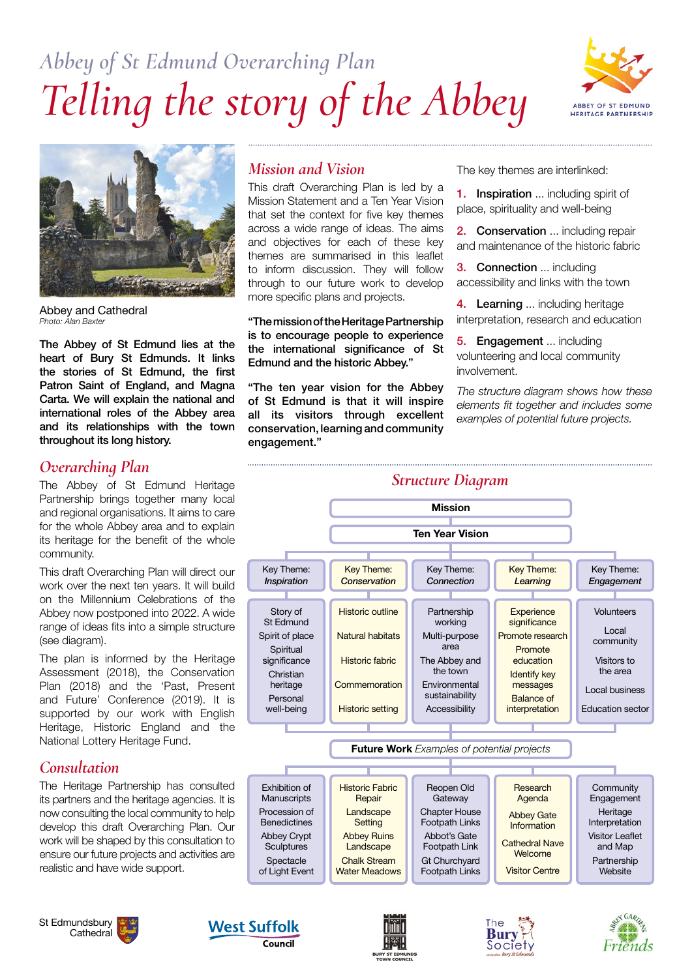# *Abbey of St Edmund Overarching Plan Telling the story of the Abbey*





Abbey and Cathedral *Photo: Alan Baxter* 

The Abbey of St Edmund lies at the heart of Bury St Edmunds. It links the stories of St Edmund, the first Patron Saint of England, and Magna Carta. We will explain the national and international roles of the Abbey area and its relationships with the town throughout its long history.

## *Overarching Plan*

The Abbey of St Edmund Heritage Partnership brings together many local and regional organisations. It aims to care for the whole Abbey area and to explain its heritage for the benefit of the whole community.

This draft Overarching Plan will direct our work over the next ten years. It will build on the Millennium Celebrations of the Abbey now postponed into 2022. A wide range of ideas fits into a simple structure (see diagram).

The plan is informed by the Heritage Assessment (2018), the Conservation Plan (2018) and the 'Past, Present and Future' Conference (2019). It is supported by our work with English Heritage, Historic England and the National Lottery Heritage Fund.

## *Consultation*

The Heritage Partnership has consulted its partners and the heritage agencies. It is now consulting the local community to help develop this draft Overarching Plan. Our work will be shaped by this consultation to ensure our future projects and activities are realistic and have wide support.





## *Mission and Vision*

This draft Overarching Plan is led by a Mission Statement and a Ten Year Vision that set the context for five key themes across a wide range of ideas. The aims and objectives for each of these key themes are summarised in this leaflet to inform discussion. They will follow through to our future work to develop more specific plans and projects.

"The mission of the Heritage Partnership is to encourage people to experience the international significance of St Edmund and the historic Abbey."

"The ten year vision for the Abbey of St Edmund is that it will inspire all its visitors through excellent conservation, learning and community engagement."

The key themes are interlinked:

1. Inspiration ... including spirit of place, spirituality and well-being

**2. Conservation** ... including repair and maintenance of the historic fabric

3. Connection ... including accessibility and links with the town

4. Learning ... including heritage interpretation, research and education

**5. Engagement** ... including volunteering and local community involvement.

*The structure diagram shows how these elements fit together and includes some examples of potential future projects.* 







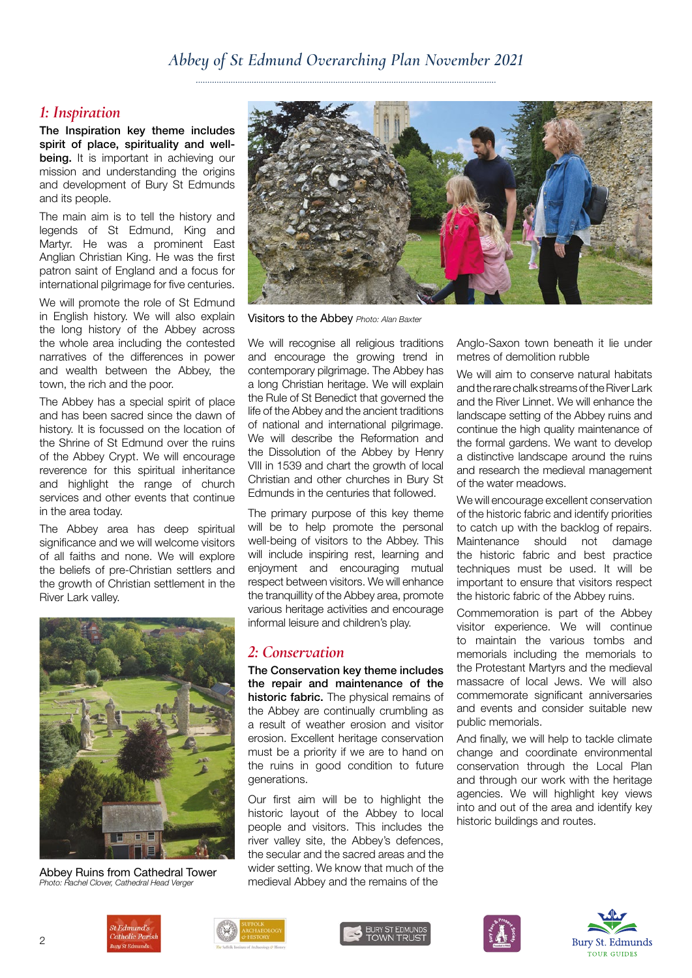#### *Abbey of St Edmund Overarching Plan November 2021*

#### *1: Inspiration*

The Inspiration key theme includes spirit of place, spirituality and wellbeing. It is important in achieving our mission and understanding the origins and development of Bury St Edmunds and its people.

The main aim is to tell the history and legends of St Edmund, King and Martyr. He was a prominent East Anglian Christian King. He was the first patron saint of England and a focus for international pilgrimage for five centuries.

We will promote the role of St Edmund in English history. We will also explain the long history of the Abbey across the whole area including the contested narratives of the differences in power and wealth between the Abbey, the town, the rich and the poor.

The Abbey has a special spirit of place and has been sacred since the dawn of history. It is focussed on the location of the Shrine of St Edmund over the ruins of the Abbey Crypt. We will encourage reverence for this spiritual inheritance and highlight the range of church services and other events that continue in the area today.

The Abbey area has deep spiritual significance and we will welcome visitors of all faiths and none. We will explore the beliefs of pre-Christian settlers and the growth of Christian settlement in the River Lark valley.



Abbey Ruins from Cathedral Tower *Photo: Rachel Clover, Cathedral Head Verger*



Visitors to the Abbey *Photo: Alan Baxter*

We will recognise all religious traditions and encourage the growing trend in contemporary pilgrimage. The Abbey has a long Christian heritage. We will explain the Rule of St Benedict that governed the life of the Abbey and the ancient traditions of national and international pilgrimage. We will describe the Reformation and the Dissolution of the Abbey by Henry VIII in 1539 and chart the growth of local Christian and other churches in Bury St Edmunds in the centuries that followed.

The primary purpose of this key theme will be to help promote the personal well-being of visitors to the Abbey. This will include inspiring rest, learning and enjoyment and encouraging mutual respect between visitors. We will enhance the tranquillity of the Abbey area, promote various heritage activities and encourage informal leisure and children's play.

#### *2: Conservation*

The Conservation key theme includes the repair and maintenance of the historic fabric. The physical remains of the Abbey are continually crumbling as a result of weather erosion and visitor erosion. Excellent heritage conservation must be a priority if we are to hand on the ruins in good condition to future generations.

Our first aim will be to highlight the historic layout of the Abbey to local people and visitors. This includes the river valley site, the Abbey's defences, the secular and the sacred areas and the wider setting. We know that much of the medieval Abbey and the remains of the

Anglo-Saxon town beneath it lie under metres of demolition rubble

We will aim to conserve natural habitats and the rare chalk streams of the River Lark and the River Linnet. We will enhance the landscape setting of the Abbey ruins and continue the high quality maintenance of the formal gardens. We want to develop a distinctive landscape around the ruins and research the medieval management of the water meadows.

We will encourage excellent conservation of the historic fabric and identify priorities to catch up with the backlog of repairs. Maintenance should not damage the historic fabric and best practice techniques must be used. It will be important to ensure that visitors respect the historic fabric of the Abbey ruins.

Commemoration is part of the Abbey visitor experience. We will continue to maintain the various tombs and memorials including the memorials to the Protestant Martyrs and the medieval massacre of local Jews. We will also commemorate significant anniversaries and events and consider suitable new public memorials.

And finally, we will help to tackle climate change and coordinate environmental conservation through the Local Plan and through our work with the heritage agencies. We will highlight key views into and out of the area and identify key historic buildings and routes.









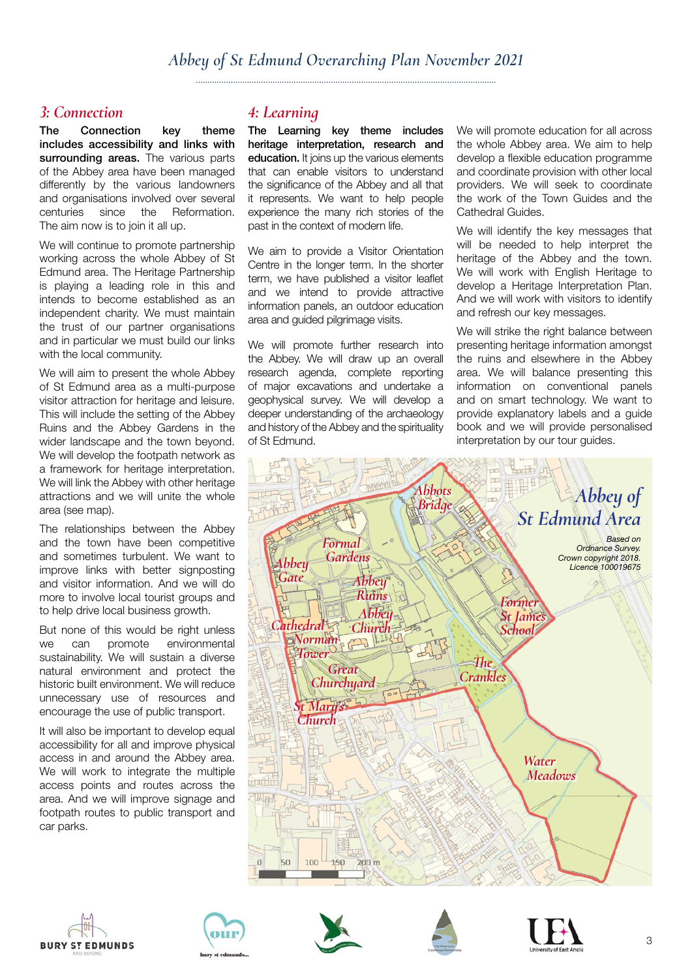## *3: Connection*

The Connection key theme includes accessibility and links with surrounding areas. The various parts of the Abbey area have been managed differently by the various landowners and organisations involved over several centuries since the Reformation. The aim now is to join it all up.

We will continue to promote partnership working across the whole Abbey of St Edmund area. The Heritage Partnership is playing a leading role in this and intends to become established as an independent charity. We must maintain the trust of our partner organisations and in particular we must build our links with the local community.

We will aim to present the whole Abbey of St Edmund area as a multi-purpose visitor attraction for heritage and leisure. This will include the setting of the Abbey Ruins and the Abbey Gardens in the wider landscape and the town beyond. We will develop the footpath network as a framework for heritage interpretation. We will link the Abbey with other heritage attractions and we will unite the whole area (see map).

The relationships between the Abbey and the town have been competitive and sometimes turbulent. We want to improve links with better signposting and visitor information. And we will do more to involve local tourist groups and to help drive local business growth.

But none of this would be right unless we can promote environmental sustainability. We will sustain a diverse natural environment and protect the historic built environment. We will reduce unnecessary use of resources and encourage the use of public transport.

It will also be important to develop equal accessibility for all and improve physical access in and around the Abbey area. We will work to integrate the multiple access points and routes across the area. And we will improve signage and footpath routes to public transport and car parks.

# *4: Learning*

The Learning key theme includes heritage interpretation, research and education. It joins up the various elements that can enable visitors to understand the significance of the Abbey and all that it represents. We want to help people experience the many rich stories of the past in the context of modern life.

We aim to provide a Visitor Orientation Centre in the longer term. In the shorter term, we have published a visitor leaflet and we intend to provide attractive information panels, an outdoor education area and guided pilgrimage visits.

We will promote further research into the Abbey. We will draw up an overall research agenda, complete reporting of major excavations and undertake a geophysical survey. We will develop a deeper understanding of the archaeology and history of the Abbey and the spirituality of St Edmund.

We will promote education for all across the whole Abbey area. We aim to help develop a flexible education programme and coordinate provision with other local providers. We will seek to coordinate the work of the Town Guides and the Cathedral Guides.

We will identify the key messages that will be needed to help interpret the heritage of the Abbey and the town. We will work with English Heritage to develop a Heritage Interpretation Plan. And we will work with visitors to identify and refresh our key messages.

We will strike the right balance between presenting heritage information amongst the ruins and elsewhere in the Abbey area. We will balance presenting this information on conventional panels and on smart technology. We want to provide explanatory labels and a guide book and we will provide personalised interpretation by our tour guides.